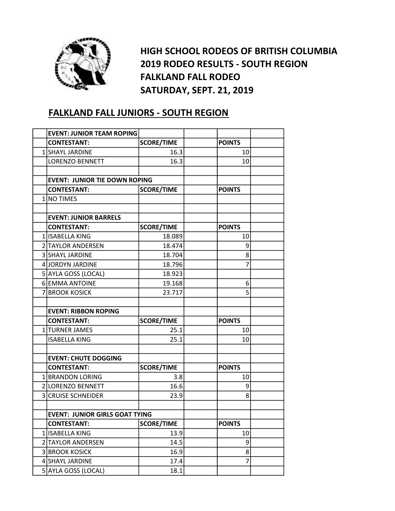

HIGH SCHOOL RODEOS OF BRITISH COLUMBIA 2019 RODEO RESULTS - SOUTH REGION FALKLAND FALL RODEO SATURDAY, SEPT. 21, 2019

## FALKLAND FALL JUNIORS - SOUTH REGION

|                | <b>EVENT: JUNIOR TEAM ROPING</b>      |                   |                |  |
|----------------|---------------------------------------|-------------------|----------------|--|
|                | <b>CONTESTANT:</b>                    | <b>SCORE/TIME</b> | <b>POINTS</b>  |  |
|                | 1 SHAYL JARDINE                       | 16.3              | 10             |  |
|                | <b>LORENZO BENNETT</b>                | 16.3              | 10             |  |
|                |                                       |                   |                |  |
|                | <b>EVENT: JUNIOR TIE DOWN ROPING</b>  |                   |                |  |
|                | <b>CONTESTANT:</b>                    | <b>SCORE/TIME</b> | <b>POINTS</b>  |  |
| 1 <sup>1</sup> | <b>NO TIMES</b>                       |                   |                |  |
|                |                                       |                   |                |  |
|                | <b>EVENT: JUNIOR BARRELS</b>          |                   |                |  |
|                | <b>CONTESTANT:</b>                    | <b>SCORE/TIME</b> | <b>POINTS</b>  |  |
|                | 1 ISABELLA KING                       | 18.089            | 10             |  |
|                | 2 TAYLOR ANDERSEN                     | 18.474            | 9              |  |
|                | 3 SHAYL JARDINE                       | 18.704            | 8              |  |
|                | 4 JORDYN JARDINE                      | 18.796            | $\overline{7}$ |  |
|                | 5 AYLA GOSS (LOCAL)                   | 18.923            |                |  |
|                | 6 EMMA ANTOINE                        | 19.168            | 6              |  |
|                | 7 BROOK KOSICK                        | 23.717            | 5              |  |
|                |                                       |                   |                |  |
|                | <b>EVENT: RIBBON ROPING</b>           |                   |                |  |
|                | <b>CONTESTANT:</b>                    | <b>SCORE/TIME</b> | <b>POINTS</b>  |  |
|                | 1 TURNER JAMES                        | 25.1              | 10             |  |
|                | <b>ISABELLA KING</b>                  | 25.1              | 10             |  |
|                |                                       |                   |                |  |
|                | <b>EVENT: CHUTE DOGGING</b>           |                   |                |  |
|                | <b>CONTESTANT:</b>                    | <b>SCORE/TIME</b> | <b>POINTS</b>  |  |
|                | 1 BRANDON LORING                      | 3.8               | 10             |  |
|                | 2 LORENZO BENNETT                     | 16.6              | 9              |  |
|                | <b>3 CRUISE SCHNEIDER</b>             | 23.9              | 8              |  |
|                |                                       |                   |                |  |
|                | <b>EVENT: JUNIOR GIRLS GOAT TYING</b> |                   |                |  |
|                | <b>CONTESTANT:</b>                    | <b>SCORE/TIME</b> | <b>POINTS</b>  |  |
|                | 1 ISABELLA KING                       | 13.9              | 10             |  |
|                | 2 TAYLOR ANDERSEN                     | 14.5              | 9              |  |
|                | <b>3 BROOK KOSICK</b>                 |                   | 8              |  |
|                |                                       | 16.9              |                |  |
|                | 4 SHAYL JARDINE                       | 17.4              | 7              |  |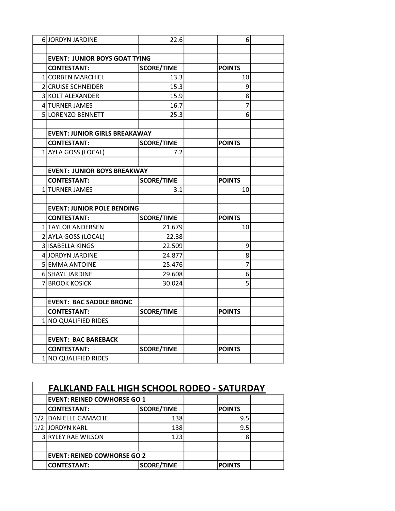| 6JORDYN JARDINE                      | 22.6              | 6              |  |
|--------------------------------------|-------------------|----------------|--|
|                                      |                   |                |  |
| <b>EVENT: JUNIOR BOYS GOAT TYING</b> |                   |                |  |
| <b>CONTESTANT:</b>                   | <b>SCORE/TIME</b> | <b>POINTS</b>  |  |
| 1 CORBEN MARCHIEL                    | 13.3              | 10             |  |
| 2 CRUISE SCHNEIDER                   | 15.3              | 9              |  |
| 3 KOLT ALEXANDER                     | 15.9              | 8              |  |
| 4 TURNER JAMES                       | 16.7              | $\overline{7}$ |  |
| <b>SILORENZO BENNETT</b>             | 25.3              | 6              |  |
|                                      |                   |                |  |
| <b>EVENT: JUNIOR GIRLS BREAKAWAY</b> |                   |                |  |
| <b>CONTESTANT:</b>                   | <b>SCORE/TIME</b> | <b>POINTS</b>  |  |
| 1 AYLA GOSS (LOCAL)                  | 7.2               |                |  |
|                                      |                   |                |  |
| <b>EVENT: JUNIOR BOYS BREAKWAY</b>   |                   |                |  |
| <b>CONTESTANT:</b>                   | <b>SCORE/TIME</b> | <b>POINTS</b>  |  |
| 1 TURNER JAMES                       | 3.1               | 10             |  |
|                                      |                   |                |  |
| <b>EVENT: JUNIOR POLE BENDING</b>    |                   |                |  |
| <b>CONTESTANT:</b>                   | <b>SCORE/TIME</b> | <b>POINTS</b>  |  |
| 1 TAYLOR ANDERSEN                    | 21.679            | 10             |  |
| 2 AYLA GOSS (LOCAL)                  | 22.38             |                |  |
| 3 ISABELLA KINGS                     | 22.509            | 9              |  |
| 4 JORDYN JARDINE                     | 24.877            | 8              |  |
| 5 EMMA ANTOINE                       | 25.476            | 7              |  |
| 6 SHAYL JARDINE                      | 29.608            | 6              |  |
| 7 BROOK KOSICK                       | 30.024            | 5              |  |
|                                      |                   |                |  |
| <b>EVENT: BAC SADDLE BRONC</b>       |                   |                |  |
| <b>CONTESTANT:</b>                   | <b>SCORE/TIME</b> | <b>POINTS</b>  |  |
| 1 NO QUALIFIED RIDES                 |                   |                |  |
|                                      |                   |                |  |
| <b>EVENT: BAC BAREBACK</b>           |                   |                |  |
| <b>CONTESTANT:</b>                   | <b>SCORE/TIME</b> | <b>POINTS</b>  |  |
| 1 NO QUALIFIED RIDES                 |                   |                |  |

| <b>FALKLAND FALL HIGH SCHOOL RODEO - SATURDAY</b> |                                    |                   |  |               |  |  |
|---------------------------------------------------|------------------------------------|-------------------|--|---------------|--|--|
|                                                   | <b>EVENT: REINED COWHORSE GO 1</b> |                   |  |               |  |  |
|                                                   | <b>CONTESTANT:</b>                 | <b>SCORE/TIME</b> |  | <b>POINTS</b> |  |  |
| 1/2                                               | <b>DANIELLE GAMACHE</b>            | 138               |  | 9.5           |  |  |
|                                                   | JORDYN KARL                        | 138               |  | 9.5           |  |  |
|                                                   | 3 RYLEY RAE WILSON                 | 123               |  |               |  |  |
|                                                   |                                    |                   |  |               |  |  |
|                                                   | <b>EVENT: REINED COWHORSE GO 2</b> |                   |  |               |  |  |
|                                                   | <b>CONTESTANT:</b>                 | <b>SCORE/TIME</b> |  | <b>POINTS</b> |  |  |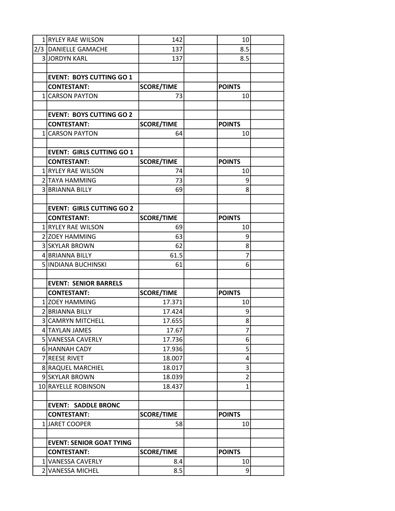| 1 RYLEY RAE WILSON               | 142               | 10             |  |
|----------------------------------|-------------------|----------------|--|
| 2/3 DANIELLE GAMACHE             | 137               | 8.5            |  |
| <b>3 JORDYN KARL</b>             | 137               | 8.5            |  |
|                                  |                   |                |  |
| <b>EVENT: BOYS CUTTING GO 1</b>  |                   |                |  |
| <b>CONTESTANT:</b>               | <b>SCORE/TIME</b> | <b>POINTS</b>  |  |
| 1 CARSON PAYTON                  | 73                | 10             |  |
|                                  |                   |                |  |
| <b>EVENT: BOYS CUTTING GO 2</b>  |                   |                |  |
| <b>CONTESTANT:</b>               | <b>SCORE/TIME</b> | <b>POINTS</b>  |  |
| 1 CARSON PAYTON                  | 64                | 10             |  |
|                                  |                   |                |  |
| <b>EVENT: GIRLS CUTTING GO 1</b> |                   |                |  |
| <b>CONTESTANT:</b>               | <b>SCORE/TIME</b> | <b>POINTS</b>  |  |
| 1 RYLEY RAE WILSON               | 74                | 10             |  |
| 2 TAYA HAMMING                   | 73                | 9              |  |
| 3 BRIANNA BILLY                  | 69                | 8              |  |
|                                  |                   |                |  |
| <b>EVENT: GIRLS CUTTING GO 2</b> |                   |                |  |
| <b>CONTESTANT:</b>               | <b>SCORE/TIME</b> | <b>POINTS</b>  |  |
| 1 RYLEY RAE WILSON               | 69                | 10             |  |
| 2 ZOEY HAMMING                   | 63                | 9              |  |
| 3 SKYLAR BROWN                   | 62                | 8              |  |
| 4 BRIANNA BILLY                  | 61.5              | 7              |  |
| 5 INDIANA BUCHINSKI              | 61                | 6              |  |
|                                  |                   |                |  |
| <b>EVENT: SENIOR BARRELS</b>     |                   |                |  |
| <b>CONTESTANT:</b>               | <b>SCORE/TIME</b> | <b>POINTS</b>  |  |
| 1 ZOEY HAMMING                   | 17.371            | 10             |  |
| 2 BRIANNA BILLY                  | 17.424            | 9              |  |
| <b>3 CAMRYN MITCHELL</b>         | 17.655            | 8              |  |
| 4 TAYLAN JAMES                   | 17.67             | 7              |  |
| 5 VANESSA CAVERLY                | 17.736            | 6              |  |
| 6 HANNAH CADY                    | 17.936            | 5              |  |
| 7 REESE RIVET                    | 18.007            | 4              |  |
| 8 RAQUEL MARCHIEL                | 18.017            | 3              |  |
| 9 SKYLAR BROWN                   | 18.039            | $\overline{2}$ |  |
| 10 RAYELLE ROBINSON              | 18.437            | 1              |  |
|                                  |                   |                |  |
| <b>EVENT: SADDLE BRONC</b>       |                   |                |  |
| <b>CONTESTANT:</b>               | <b>SCORE/TIME</b> | <b>POINTS</b>  |  |
| 1 JARET COOPER                   | 58                | 10             |  |
|                                  |                   |                |  |
| <b>EVENT: SENIOR GOAT TYING</b>  |                   |                |  |
| <b>CONTESTANT:</b>               | <b>SCORE/TIME</b> | <b>POINTS</b>  |  |
| 1 VANESSA CAVERLY                | 8.4               | 10             |  |
| 2 VANESSA MICHEL                 | 8.5               | $\overline{9}$ |  |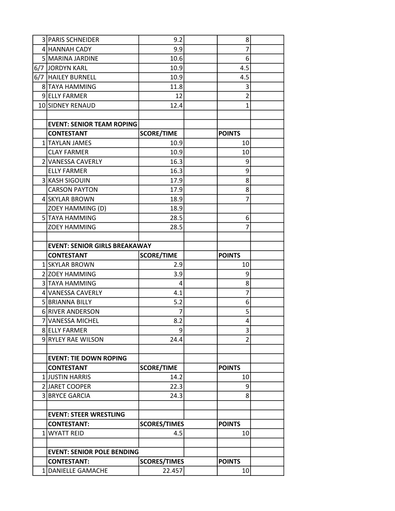| 3   PARIS SCHNEIDER                  | 9.2                 | 8              |  |
|--------------------------------------|---------------------|----------------|--|
| 4 HANNAH CADY                        | 9.9                 | 7              |  |
| 5 MARINA JARDINE                     | 10.6                | 6              |  |
| 6/7 JORDYN KARL                      | 10.9                | 4.5            |  |
| 6/7   HAILEY BURNELL                 | 10.9                | 4.5            |  |
| 8 TAYA HAMMING                       | 11.8                | 3              |  |
| 9 ELLY FARMER                        | 12                  | $\overline{2}$ |  |
| 10 SIDNEY RENAUD                     | 12.4                | 1              |  |
|                                      |                     |                |  |
| <b>EVENT: SENIOR TEAM ROPING</b>     |                     |                |  |
| <b>CONTESTANT</b>                    | <b>SCORE/TIME</b>   | <b>POINTS</b>  |  |
| 1 TAYLAN JAMES                       | 10.9                | 10             |  |
| <b>CLAY FARMER</b>                   | 10.9                | 10             |  |
| 2 VANESSA CAVERLY                    | 16.3                | 9              |  |
| <b>ELLY FARMER</b>                   | 16.3                | 9              |  |
| 3 KASH SIGOUIN                       | 17.9                | 8              |  |
| <b>CARSON PAYTON</b>                 | 17.9                | 8              |  |
| 4 SKYLAR BROWN                       | 18.9                | 7              |  |
| ZOEY HAMMING (D)                     | 18.9                |                |  |
| <b>5 TAYA HAMMING</b>                | 28.5                | 6              |  |
| <b>ZOEY HAMMING</b>                  | 28.5                | 7              |  |
|                                      |                     |                |  |
| <b>EVENT: SENIOR GIRLS BREAKAWAY</b> |                     |                |  |
| <b>CONTESTANT</b>                    | <b>SCORE/TIME</b>   | <b>POINTS</b>  |  |
| 1 SKYLAR BROWN                       | 2.9                 | 10             |  |
| 2 ZOEY HAMMING                       | 3.9                 | 9              |  |
| 3 TAYA HAMMING                       | 4                   | 8              |  |
| 4 VANESSA CAVERLY                    | 4.1                 | 7              |  |
| 5 BRIANNA BILLY                      | 5.2                 | 6              |  |
| 6 RIVER ANDERSON                     |                     | 5              |  |
| 7 VANESSA MICHEL                     | 8.2                 | 4              |  |
| 8 ELLY FARMER                        | 9                   | 3              |  |
| 9 RYLEY RAE WILSON                   | 24.4                | 2              |  |
|                                      |                     |                |  |
| <b>EVENT: TIE DOWN ROPING</b>        |                     |                |  |
| <b>CONTESTANT</b>                    | <b>SCORE/TIME</b>   | <b>POINTS</b>  |  |
| 1JUSTIN HARRIS                       | 14.2                | 10             |  |
| 2 JARET COOPER                       | 22.3                | 9              |  |
| 3 BRYCE GARCIA                       | 24.3                | 8              |  |
| <b>EVENT: STEER WRESTLING</b>        |                     |                |  |
| <b>CONTESTANT:</b>                   | <b>SCORES/TIMES</b> | <b>POINTS</b>  |  |
| 1 WYATT REID                         | 4.5                 | 10             |  |
|                                      |                     |                |  |
| <b>EVENT: SENIOR POLE BENDING</b>    |                     |                |  |
| <b>CONTESTANT:</b>                   | <b>SCORES/TIMES</b> | <b>POINTS</b>  |  |
| 1 DANIELLE GAMACHE                   | 22.457              | 10             |  |
|                                      |                     |                |  |